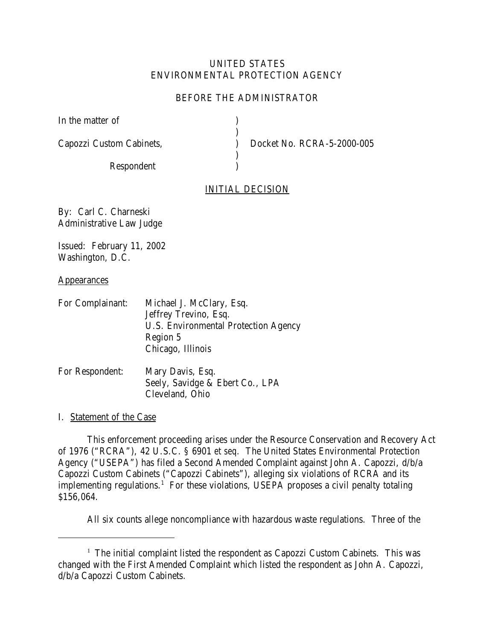# UNITED STATES ENVIRONMENTAL PROTECTION AGENCY

# BEFORE THE ADMINISTRATOR

) )

)  $\lambda$ 

|  |  | In the matter of |  |
|--|--|------------------|--|
|--|--|------------------|--|

Capozzi Custom Cabinets,

Respondent

) Docket No. RCRA-5-2000-005

# INITIAL DECISION

By: Carl C. Charneski Administrative Law Judge

Issued: February 11, 2002 Washington, D.C.

## **Appearances**

| For Complainant: | Michael J. McClary, Esq.                    |
|------------------|---------------------------------------------|
|                  | Jeffrey Trevino, Esq.                       |
|                  | <b>U.S. Environmental Protection Agency</b> |
|                  | Region 5                                    |
|                  | Chicago, Illinois                           |
|                  |                                             |

| For Respondent: | Mary Davis, Esq.                |
|-----------------|---------------------------------|
|                 | Seely, Savidge & Ebert Co., LPA |
|                 | Cleveland, Ohio                 |

I. Statement of the Case

This enforcement proceeding arises under the Resource Conservation and Recovery Act of 1976 ("RCRA"), 42 U.S.C. § 6901 *et seq.* The United States Environmental Protection Agency ("USEPA") has filed a Second Amended Complaint against John A. Capozzi, d/b/a Capozzi Custom Cabinets ("Capozzi Cabinets"), alleging six violations of RCRA and its implementing regulations.<sup>1</sup> For these violations, USEPA proposes a civil penalty totaling \$156,064.

All six counts allege noncompliance with hazardous waste regulations. Three of the

 $1$  The initial complaint listed the respondent as Capozzi Custom Cabinets. This was changed with the First Amended Complaint which listed the respondent as John A. Capozzi, d/b/a Capozzi Custom Cabinets.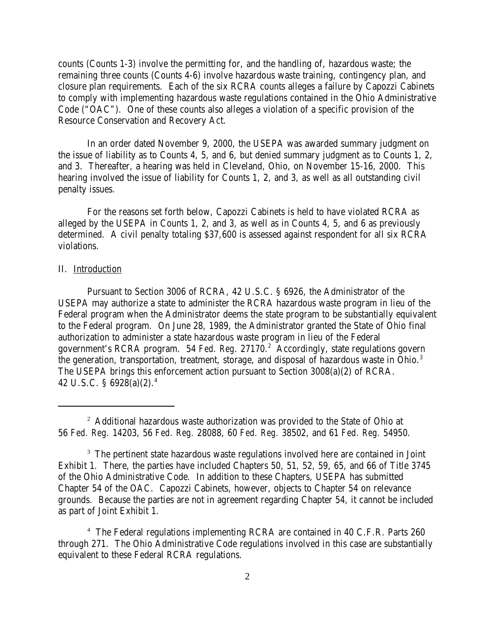counts (Counts 1-3) involve the permitting for, and the handling of, hazardous waste; the remaining three counts (Counts 4-6) involve hazardous waste training, contingency plan, and closure plan requirements. Each of the six RCRA counts alleges a failure by Capozzi Cabinets to comply with implementing hazardous waste regulations contained in the Ohio Administrative Code ("OAC"). One of these counts also alleges a violation of a specific provision of the Resource Conservation and Recovery Act.

In an order dated November 9, 2000, the USEPA was awarded summary judgment on the issue of liability as to Counts 4, 5, and 6, but denied summary judgment as to Counts 1, 2, and 3. Thereafter, a hearing was held in Cleveland, Ohio, on November 15-16, 2000. This hearing involved the issue of liability for Counts 1, 2, and 3, as well as all outstanding civil penalty issues.

For the reasons set forth below, Capozzi Cabinets is held to have violated RCRA as alleged by the USEPA in Counts 1, 2, and 3, as well as in Counts 4, 5, and 6 as previously determined. A civil penalty totaling \$37,600 is assessed against respondent for all six RCRA violations.

#### II. Introduction

Pursuant to Section 3006 of RCRA, 42 U.S.C. § 6926, the Administrator of the USEPA may authorize a state to administer the RCRA hazardous waste program in lieu of the Federal program when the Administrator deems the state program to be substantially equivalent to the Federal program. On June 28, 1989, the Administrator granted the State of Ohio final authorization to administer a state hazardous waste program in lieu of the Federal government's RCRA program. 54 *Fed. Reg.* 27170.2 Accordingly, state regulations govern the generation, transportation, treatment, storage, and disposal of hazardous waste in Ohio.<sup>3</sup> The USEPA brings this enforcement action pursuant to Section 3008(a)(2) of RCRA. 42 U.S.C. § 6928(a)(2).4

<sup>4</sup> The Federal regulations implementing RCRA are contained in 40 C.F.R. Parts 260 through 271. The Ohio Administrative Code regulations involved in this case are substantially equivalent to these Federal RCRA regulations.

 $2$  Additional hazardous waste authorization was provided to the State of Ohio at 56 *Fed. Reg.* 14203, 56 *Fed. Reg.* 28088, 60 *Fed. Reg.* 38502, and 61 *Fed. Reg.* 54950.

<sup>&</sup>lt;sup>3</sup> The pertinent state hazardous waste regulations involved here are contained in Joint Exhibit 1. There, the parties have included Chapters 50, 51, 52, 59, 65, and 66 of Title 3745 of the Ohio Administrative Code. In addition to these Chapters, USEPA has submitted Chapter 54 of the OAC. Capozzi Cabinets, however, objects to Chapter 54 on relevance grounds. Because the parties are not in agreement regarding Chapter 54, it cannot be included as part of Joint Exhibit 1.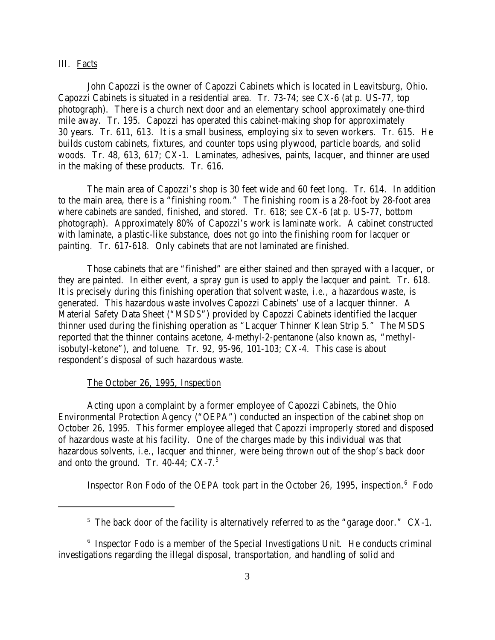### III. Facts

John Capozzi is the owner of Capozzi Cabinets which is located in Leavitsburg, Ohio. Capozzi Cabinets is situated in a residential area. Tr. 73-74; *see* CX-6 (at p. US-77, top photograph). There is a church next door and an elementary school approximately one-third mile away. Tr. 195. Capozzi has operated this cabinet-making shop for approximately 30 years. Tr. 611, 613. It is a small business, employing six to seven workers. Tr. 615. He builds custom cabinets, fixtures, and counter tops using plywood, particle boards, and solid woods. Tr. 48, 613, 617; CX-1. Laminates, adhesives, paints, lacquer, and thinner are used in the making of these products. Tr. 616.

The main area of Capozzi's shop is 30 feet wide and 60 feet long. Tr. 614. In addition to the main area, there is a "finishing room." The finishing room is a 28-foot by 28-foot area where cabinets are sanded, finished, and stored. Tr. 618; *see* CX-6 (at p. US-77, bottom photograph). Approximately 80% of Capozzi's work is laminate work. A cabinet constructed with laminate, a plastic-like substance, does not go into the finishing room for lacquer or painting. Tr. 617-618. Only cabinets that are not laminated are finished.

Those cabinets that are "finished" are either stained and then sprayed with a lacquer, or they are painted. In either event, a spray gun is used to apply the lacquer and paint. Tr. 618. It is precisely during this finishing operation that solvent waste, *i.e.,* a hazardous waste, is generated. This hazardous waste involves Capozzi Cabinets' use of a lacquer thinner. A Material Safety Data Sheet ("MSDS") provided by Capozzi Cabinets identified the lacquer thinner used during the finishing operation as "Lacquer Thinner Klean Strip 5." The MSDS reported that the thinner contains acetone, 4-methyl-2-pentanone (also known as, "methylisobutyl-ketone"), and toluene. Tr. 92, 95-96, 101-103; CX-4. This case is about respondent's disposal of such hazardous waste.

## The October 26, 1995, Inspection

Acting upon a complaint by a former employee of Capozzi Cabinets, the Ohio Environmental Protection Agency ("OEPA") conducted an inspection of the cabinet shop on October 26, 1995. This former employee alleged that Capozzi improperly stored and disposed of hazardous waste at his facility. One of the charges made by this individual was that hazardous solvents, *i.e.,* lacquer and thinner, were being thrown out of the shop's back door and onto the ground. Tr.  $40-44$ ; CX-7. $5$ 

Inspector Ron Fodo of the OEPA took part in the October 26, 1995, inspection.<sup>6</sup> Fodo

 $5$  The back door of the facility is alternatively referred to as the "garage door." CX-1.

 $6$  Inspector Fodo is a member of the Special Investigations Unit. He conducts criminal investigations regarding the illegal disposal, transportation, and handling of solid and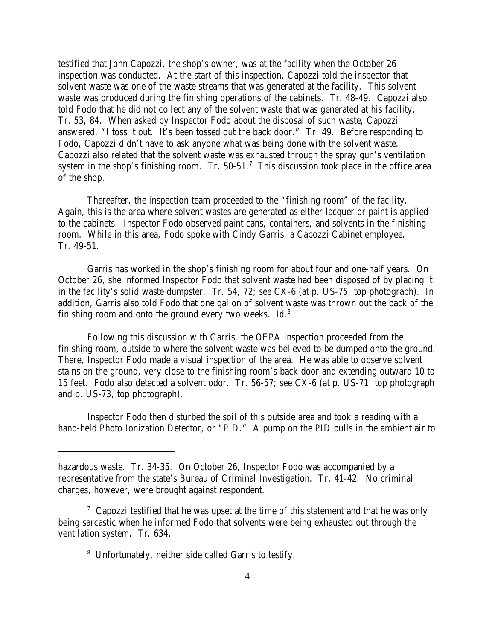testified that John Capozzi, the shop's owner, was at the facility when the October 26 inspection was conducted. At the start of this inspection, Capozzi told the inspector that solvent waste was one of the waste streams that was generated at the facility. This solvent waste was produced during the finishing operations of the cabinets. Tr. 48-49. Capozzi also told Fodo that he did not collect any of the solvent waste that was generated at his facility. Tr. 53, 84. When asked by Inspector Fodo about the disposal of such waste, Capozzi answered, "I toss it out. It's been tossed out the back door." Tr. 49. Before responding to Fodo, Capozzi didn't have to ask anyone what was being done with the solvent waste. Capozzi also related that the solvent waste was exhausted through the spray gun's ventilation system in the shop's finishing room. Tr.  $50-51$ .<sup>7</sup> This discussion took place in the office area of the shop.

Thereafter, the inspection team proceeded to the "finishing room" of the facility. Again, this is the area where solvent wastes are generated as either lacquer or paint is applied to the cabinets. Inspector Fodo observed paint cans, containers, and solvents in the finishing room. While in this area, Fodo spoke with Cindy Garris, a Capozzi Cabinet employee. Tr. 49-51.

Garris has worked in the shop's finishing room for about four and one-half years. On October 26, she informed Inspector Fodo that solvent waste had been disposed of by placing it in the facility's solid waste dumpster. Tr. 54, 72; *see* CX-6 (at p. US-75, top photograph). In addition, Garris also told Fodo that one gallon of solvent waste was thrown out the back of the finishing room and onto the ground every two weeks. *Id.*<sup>8</sup>

Following this discussion with Garris, the OEPA inspection proceeded from the finishing room, outside to where the solvent waste was believed to be dumped onto the ground. There, Inspector Fodo made a visual inspection of the area. He was able to observe solvent stains on the ground, very close to the finishing room's back door and extending outward 10 to 15 feet. Fodo also detected a solvent odor. Tr. 56-57; *see* CX-6 (at p. US-71, top photograph and p. US-73, top photograph).

Inspector Fodo then disturbed the soil of this outside area and took a reading with a hand-held Photo Ionization Detector, or "PID." A pump on the PID pulls in the ambient air to

hazardous waste. Tr. 34-35. On October 26, Inspector Fodo was accompanied by a representative from the state's Bureau of Criminal Investigation. Tr. 41-42. No criminal charges, however, were brought against respondent.

 $7$  Capozzi testified that he was upset at the time of this statement and that he was only being sarcastic when he informed Fodo that solvents were being exhausted out through the ventilation system. Tr. 634.

<sup>8</sup> Unfortunately, neither side called Garris to testify.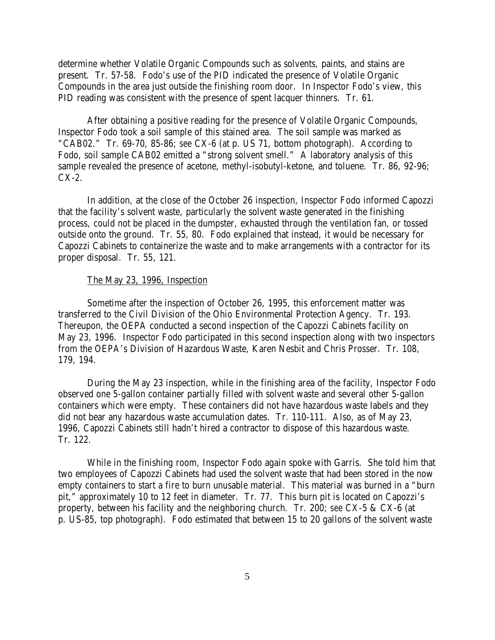determine whether Volatile Organic Compounds such as solvents, paints, and stains are present. Tr. 57-58. Fodo's use of the PID indicated the presence of Volatile Organic Compounds in the area just outside the finishing room door. In Inspector Fodo's view, this PID reading was consistent with the presence of spent lacquer thinners. Tr. 61.

After obtaining a positive reading for the presence of Volatile Organic Compounds, Inspector Fodo took a soil sample of this stained area. The soil sample was marked as "CAB02." Tr. 69-70, 85-86; *see* CX-6 (at p. US 71, bottom photograph). According to Fodo, soil sample CAB02 emitted a "strong solvent smell." A laboratory analysis of this sample revealed the presence of acetone, methyl-isobutyl-ketone, and toluene. Tr. 86, 92-96; CX-2.

In addition, at the close of the October 26 inspection, Inspector Fodo informed Capozzi that the facility's solvent waste, particularly the solvent waste generated in the finishing process, could not be placed in the dumpster, exhausted through the ventilation fan, or tossed outside onto the ground. Tr. 55, 80. Fodo explained that instead, it would be necessary for Capozzi Cabinets to containerize the waste and to make arrangements with a contractor for its proper disposal. Tr. 55, 121*.* 

#### The May 23, 1996, Inspection

Sometime after the inspection of October 26, 1995, this enforcement matter was transferred to the Civil Division of the Ohio Environmental Protection Agency. Tr. 193. Thereupon, the OEPA conducted a second inspection of the Capozzi Cabinets facility on May 23, 1996. Inspector Fodo participated in this second inspection along with two inspectors from the OEPA's Division of Hazardous Waste, Karen Nesbit and Chris Prosser. Tr. 108, 179, 194.

During the May 23 inspection, while in the finishing area of the facility, Inspector Fodo observed one 5-gallon container partially filled with solvent waste and several other 5-gallon containers which were empty. These containers did not have hazardous waste labels and they did not bear any hazardous waste accumulation dates. Tr. 110-111. Also, as of May 23, 1996, Capozzi Cabinets still hadn't hired a contractor to dispose of this hazardous waste. Tr. 122.

While in the finishing room, Inspector Fodo again spoke with Garris. She told him that two employees of Capozzi Cabinets had used the solvent waste that had been stored in the now empty containers to start a fire to burn unusable material. This material was burned in a "burn pit," approximately 10 to 12 feet in diameter. Tr. 77. This burn pit is located on Capozzi's property, between his facility and the neighboring church. Tr. 200; *see* CX-5 & CX-6 (at p. US-85, top photograph). Fodo estimated that between 15 to 20 gallons of the solvent waste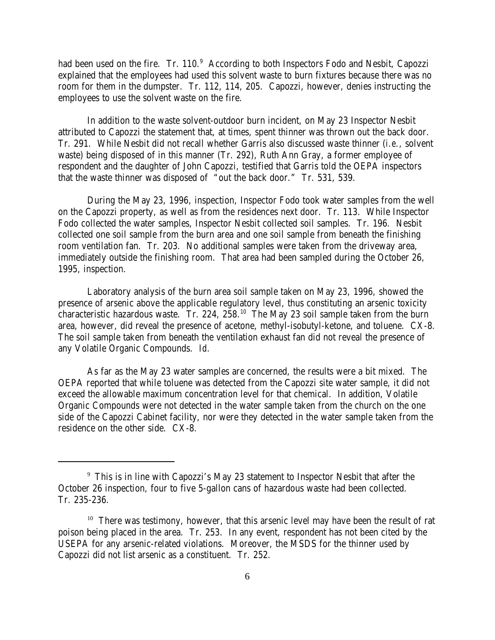had been used on the fire. Tr. 110.<sup>9</sup> According to both Inspectors Fodo and Nesbit, Capozzi explained that the employees had used this solvent waste to burn fixtures because there was no room for them in the dumpster. Tr. 112, 114, 205. Capozzi, however, denies instructing the employees to use the solvent waste on the fire.

In addition to the waste solvent-outdoor burn incident, on May 23 Inspector Nesbit attributed to Capozzi the statement that, at times, spent thinner was thrown out the back door. Tr. 291. While Nesbit did not recall whether Garris also discussed waste thinner (*i.e.,* solvent waste) being disposed of in this manner (Tr. 292), Ruth Ann Gray, a former employee of respondent and the daughter of John Capozzi, testified that Garris told the OEPA inspectors that the waste thinner was disposed of "out the back door." Tr. 531, 539.

During the May 23, 1996, inspection, Inspector Fodo took water samples from the well on the Capozzi property, as well as from the residences next door. Tr. 113. While Inspector Fodo collected the water samples, Inspector Nesbit collected soil samples. Tr. 196. Nesbit collected one soil sample from the burn area and one soil sample from beneath the finishing room ventilation fan. Tr. 203. No additional samples were taken from the driveway area, immediately outside the finishing room. That area had been sampled during the October 26, 1995, inspection.

Laboratory analysis of the burn area soil sample taken on May 23, 1996, showed the presence of arsenic above the applicable regulatory level, thus constituting an arsenic toxicity characteristic hazardous waste. Tr. 224,  $258^{10}$  The May 23 soil sample taken from the burn area, however, did reveal the presence of acetone, methyl-isobutyl-ketone, and toluene. CX-8. The soil sample taken from beneath the ventilation exhaust fan did not reveal the presence of any Volatile Organic Compounds. *Id.* 

As far as the May 23 water samples are concerned, the results were a bit mixed. The OEPA reported that while toluene was detected from the Capozzi site water sample, it did not exceed the allowable maximum concentration level for that chemical. In addition, Volatile Organic Compounds were not detected in the water sample taken from the church on the one side of the Capozzi Cabinet facility, nor were they detected in the water sample taken from the residence on the other side. CX-8.

 $9$  This is in line with Capozzi's May 23 statement to Inspector Nesbit that after the October 26 inspection, four to five 5-gallon cans of hazardous waste had been collected. Tr. 235-236.

<sup>&</sup>lt;sup>10</sup> There was testimony, however, that this arsenic level may have been the result of rat poison being placed in the area. Tr. 253. In any event, respondent has not been cited by the USEPA for any arsenic-related violations. Moreover, the MSDS for the thinner used by Capozzi did not list arsenic as a constituent. Tr. 252.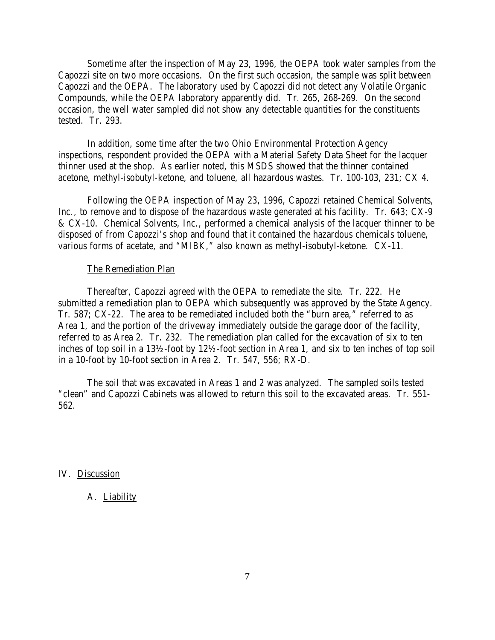Sometime after the inspection of May 23, 1996, the OEPA took water samples from the Capozzi site on two more occasions. On the first such occasion, the sample was split between Capozzi and the OEPA. The laboratory used by Capozzi did not detect any Volatile Organic Compounds, while the OEPA laboratory apparently did. Tr. 265, 268-269. On the second occasion, the well water sampled did not show any detectable quantities for the constituents tested. Tr. 293.

In addition, some time after the two Ohio Environmental Protection Agency inspections, respondent provided the OEPA with a Material Safety Data Sheet for the lacquer thinner used at the shop. As earlier noted, this MSDS showed that the thinner contained acetone, methyl-isobutyl-ketone, and toluene, all hazardous wastes. Tr. 100-103, 231; CX 4.

Following the OEPA inspection of May 23, 1996, Capozzi retained Chemical Solvents, Inc., to remove and to dispose of the hazardous waste generated at his facility. Tr. 643; CX-9 & CX-10. Chemical Solvents, Inc., performed a chemical analysis of the lacquer thinner to be disposed of from Capozzi's shop and found that it contained the hazardous chemicals toluene, various forms of acetate, and "MIBK," also known as methyl-isobutyl-ketone. CX-11.

#### The Remediation Plan

Thereafter, Capozzi agreed with the OEPA to remediate the site. Tr. 222. He submitted a remediation plan to OEPA which subsequently was approved by the State Agency. Tr. 587; CX-22. The area to be remediated included both the "burn area," referred to as Area 1, and the portion of the driveway immediately outside the garage door of the facility, referred to as Area 2. Tr. 232. The remediation plan called for the excavation of six to ten inches of top soil in a 13½-foot by 12½-foot section in Area 1, and six to ten inches of top soil in a 10-foot by 10-foot section in Area 2. Tr. 547, 556; RX-D.

The soil that was excavated in Areas 1 and 2 was analyzed. The sampled soils tested "clean" and Capozzi Cabinets was allowed to return this soil to the excavated areas. Tr. 551- 562.

IV. Discussion

#### A. Liability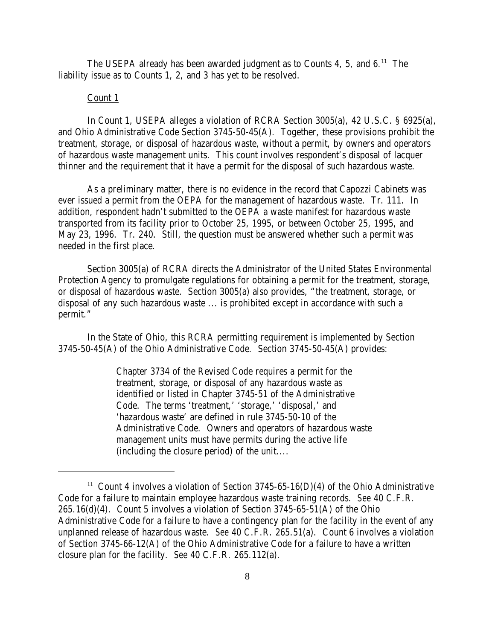The USEPA already has been awarded judgment as to Counts 4, 5, and 6.<sup>11</sup> The liability issue as to Counts 1, 2, and 3 has yet to be resolved.

## Count 1

In Count 1, USEPA alleges a violation of RCRA Section 3005(a), 42 U.S.C. § 6925(a), and Ohio Administrative Code Section 3745-50-45(A). Together, these provisions prohibit the treatment, storage, or disposal of hazardous waste, without a permit, by owners and operators of hazardous waste management units. This count involves respondent's disposal of lacquer thinner and the requirement that it have a permit for the disposal of such hazardous waste.

As a preliminary matter, there is no evidence in the record that Capozzi Cabinets was ever issued a permit from the OEPA for the management of hazardous waste. Tr. 111. In addition, respondent hadn't submitted to the OEPA a waste manifest for hazardous waste transported from its facility prior to October 25, 1995, or between October 25, 1995, and May 23, 1996. Tr. 240. Still, the question must be answered whether such a permit was needed in the first place.

Section 3005(a) of RCRA directs the Administrator of the United States Environmental Protection Agency to promulgate regulations for obtaining a permit for the treatment, storage, or disposal of hazardous waste. Section 3005(a) also provides, "the treatment, storage, or disposal of any such hazardous waste ... is prohibited except in accordance with such a permit."

In the State of Ohio, this RCRA permitting requirement is implemented by Section 3745-50-45(A) of the Ohio Administrative Code. Section 3745-50-45(A) provides:

> Chapter 3734 of the Revised Code requires a permit for the treatment, storage, or disposal of any hazardous waste as identified or listed in Chapter 3745-51 of the Administrative Code. The terms 'treatment,' 'storage,' 'disposal,' and 'hazardous waste' are defined in rule 3745-50-10 of the Administrative Code. Owners and operators of hazardous waste management units must have permits during the active life (including the closure period) of the unit....

<sup>&</sup>lt;sup>11</sup> Count 4 involves a violation of Section 3745-65-16(D)(4) of the Ohio Administrative Code for a failure to maintain employee hazardous waste training records. *See* 40 C.F.R.  $265.16(d)(4)$ . Count 5 involves a violation of Section 3745-65-51(A) of the Ohio Administrative Code for a failure to have a contingency plan for the facility in the event of any unplanned release of hazardous waste. *See* 40 C.F.R. 265.51(a). Count 6 involves a violation of Section 3745-66-12(A) of the Ohio Administrative Code for a failure to have a written closure plan for the facility. *See* 40 C.F.R. 265.112(a).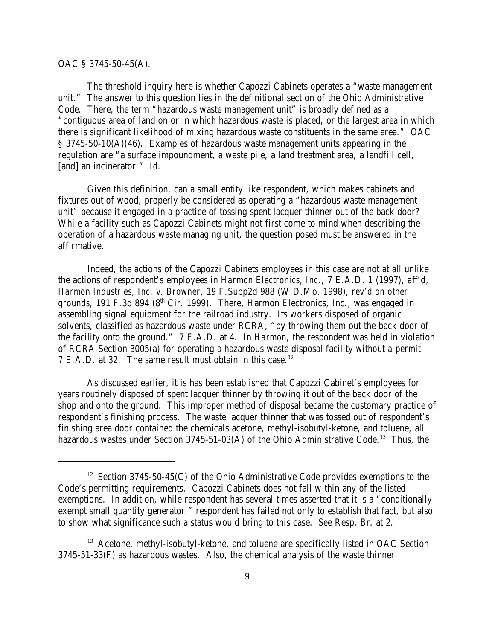### OAC § 3745-50-45(A).

The threshold inquiry here is whether Capozzi Cabinets operates a "waste management unit." The answer to this question lies in the definitional section of the Ohio Administrative Code. There, the term "hazardous waste management unit" is broadly defined as a "contiguous area of land on or in which hazardous waste is placed, or the largest area in which there is significant likelihood of mixing hazardous waste constituents in the same area." OAC § 3745-50-10(A)(46). Examples of hazardous waste management units appearing in the regulation are "a surface impoundment, a waste pile, a land treatment area, a landfill cell, [and] an incinerator." *Id.* 

Given this definition, can a small entity like respondent, which makes cabinets and fixtures out of wood, properly be considered as operating a "hazardous waste management unit" because it engaged in a practice of tossing spent lacquer thinner out of the back door? While a facility such as Capozzi Cabinets might not first come to mind when describing the operation of a hazardous waste managing unit, the question posed must be answered in the affirmative.

Indeed, the actions of the Capozzi Cabinets employees in this case are not at all unlike the actions of respondent's employees in *Harmon Electronics, Inc.,* 7 E.A.D. 1 (1997), *aff'd*, *Harmon Industries, Inc. v. Browner,* 19 F.Supp2d 988 (W.D.Mo. 1998), *rev'd on other grounds,* 191 F.3d 894 (8<sup>th</sup> Cir. 1999). There, Harmon Electronics, Inc., was engaged in assembling signal equipment for the railroad industry. Its workers disposed of organic solvents, classified as hazardous waste under RCRA, "by throwing them out the back door of the facility onto the ground." 7 E.A.D. at 4. In *Harmon*, the respondent was held in violation of RCRA Section 3005(a) for operating a hazardous waste disposal facility *without a permit*. 7 E.A.D. at 32. The same result must obtain in this case.<sup>12</sup>

As discussed earlier, it is has been established that Capozzi Cabinet's employees for years routinely disposed of spent lacquer thinner by throwing it out of the back door of the shop and onto the ground. This improper method of disposal became the customary practice of respondent's finishing process. The waste lacquer thinner that was tossed out of respondent's finishing area door contained the chemicals acetone, methyl-isobutyl-ketone, and toluene, all hazardous wastes under Section 3745-51-03(A) of the Ohio Administrative Code.<sup>13</sup> Thus, the

<sup>&</sup>lt;sup>12</sup> Section 3745-50-45(C) of the Ohio Administrative Code provides exemptions to the Code's permitting requirements. Capozzi Cabinets does not fall within any of the listed exemptions. In addition, while respondent has several times asserted that it is a "conditionally exempt small quantity generator," respondent has failed not only to establish that fact, but also to show what significance such a status would bring to this case. *See* Resp. Br. at 2.

 $13$  Acetone, methyl-isobutyl-ketone, and toluene are specifically listed in OAC Section 3745-51-33(F) as hazardous wastes. Also, the chemical analysis of the waste thinner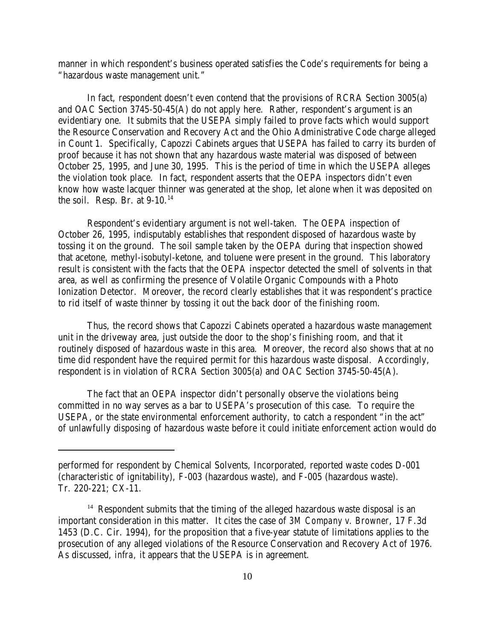manner in which respondent's business operated satisfies the Code's requirements for being a "hazardous waste management unit."

In fact, respondent doesn't even contend that the provisions of RCRA Section 3005(a) and OAC Section 3745-50-45(A) do not apply here. Rather, respondent's argument is an evidentiary one. It submits that the USEPA simply failed to prove facts which would support the Resource Conservation and Recovery Act and the Ohio Administrative Code charge alleged in Count 1. Specifically, Capozzi Cabinets argues that USEPA has failed to carry its burden of proof because it has not shown that any hazardous waste material was disposed of between October 25, 1995, and June 30, 1995. This is the period of time in which the USEPA alleges the violation took place. In fact, respondent asserts that the OEPA inspectors didn't even know how waste lacquer thinner was generated at the shop, let alone when it was deposited on the soil. Resp. Br. at  $9-10.<sup>14</sup>$ 

Respondent's evidentiary argument is not well-taken. The OEPA inspection of October 26, 1995, indisputably establishes that respondent disposed of hazardous waste by tossing it on the ground. The soil sample taken by the OEPA during that inspection showed that acetone, methyl-isobutyl-ketone, and toluene were present in the ground. This laboratory result is consistent with the facts that the OEPA inspector detected the smell of solvents in that area, as well as confirming the presence of Volatile Organic Compounds with a Photo Ionization Detector. Moreover, the record clearly establishes that it was respondent's practice to rid itself of waste thinner by tossing it out the back door of the finishing room.

Thus, the record shows that Capozzi Cabinets operated a hazardous waste management unit in the driveway area, just outside the door to the shop's finishing room, and that it routinely disposed of hazardous waste in this area. Moreover, the record also shows that at no time did respondent have the required permit for this hazardous waste disposal. Accordingly, respondent is in violation of RCRA Section 3005(a) and OAC Section 3745-50-45(A).

The fact that an OEPA inspector didn't personally observe the violations being committed in no way serves as a bar to USEPA's prosecution of this case. To require the USEPA, or the state environmental enforcement authority, to catch a respondent "in the act" of unlawfully disposing of hazardous waste before it could initiate enforcement action would do

performed for respondent by Chemical Solvents, Incorporated, reported waste codes D-001 (characteristic of ignitability), F-003 (hazardous waste), and F-005 (hazardous waste). Tr. 220-221; CX-11.

 $14$  Respondent submits that the timing of the alleged hazardous waste disposal is an important consideration in this matter. It cites the case of *3M Company v. Browner*, 17 F.3d 1453 (D.C. Cir. 1994), for the proposition that a five-year statute of limitations applies to the prosecution of any alleged violations of the Resource Conservation and Recovery Act of 1976. As discussed, *infra,* it appears that the USEPA is in agreement.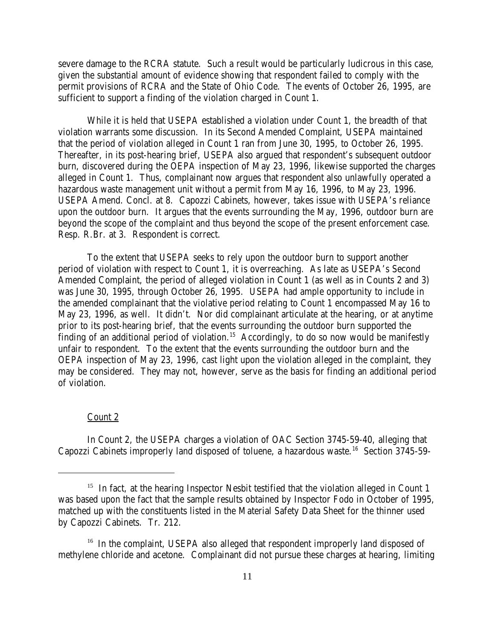severe damage to the RCRA statute. Such a result would be particularly ludicrous in this case, given the substantial amount of evidence showing that respondent failed to comply with the permit provisions of RCRA and the State of Ohio Code. The events of October 26, 1995, are sufficient to support a finding of the violation charged in Count 1.

While it is held that USEPA established a violation under Count 1, the breadth of that violation warrants some discussion. In its Second Amended Complaint, USEPA maintained that the period of violation alleged in Count 1 ran from June 30, 1995, to October 26, 1995. Thereafter, in its post-hearing brief, USEPA also argued that respondent's subsequent outdoor burn, discovered during the OEPA inspection of May 23, 1996, likewise supported the charges alleged in Count 1. Thus, complainant now argues that respondent also unlawfully operated a hazardous waste management unit without a permit from May 16, 1996, to May 23, 1996. USEPA Amend. Concl. at 8. Capozzi Cabinets, however, takes issue with USEPA's reliance upon the outdoor burn. It argues that the events surrounding the May, 1996, outdoor burn are beyond the scope of the complaint and thus beyond the scope of the present enforcement case. Resp. R.Br. at 3. Respondent is correct.

To the extent that USEPA seeks to rely upon the outdoor burn to support another period of violation with respect to Count 1, it is overreaching. As late as USEPA's Second Amended Complaint, the period of alleged violation in Count 1 (as well as in Counts 2 and 3) was June 30, 1995, through October 26, 1995. USEPA had ample opportunity to include in the amended complainant that the violative period relating to Count 1 encompassed May 16 to May 23, 1996, as well. It didn't. Nor did complainant articulate at the hearing, or at anytime prior to its post-hearing brief, that the events surrounding the outdoor burn supported the finding of an additional period of violation.<sup>15</sup> Accordingly, to do so now would be manifestly unfair to respondent. To the extent that the events surrounding the outdoor burn and the OEPA inspection of May 23, 1996, cast light upon the violation alleged in the complaint, they may be considered. They may not, however, serve as the basis for finding an additional period of violation.

### Count 2

In Count 2, the USEPA charges a violation of OAC Section 3745-59-40, alleging that Capozzi Cabinets improperly land disposed of toluene, a hazardous waste.<sup>16</sup> Section 3745-59-

<sup>&</sup>lt;sup>15</sup> In fact, at the hearing Inspector Nesbit testified that the violation alleged in Count 1 was based upon the fact that the sample results obtained by Inspector Fodo in October of 1995, matched up with the constituents listed in the Material Safety Data Sheet for the thinner used by Capozzi Cabinets. Tr. 212.

 $16$  In the complaint, USEPA also alleged that respondent improperly land disposed of methylene chloride and acetone. Complainant did not pursue these charges at hearing, limiting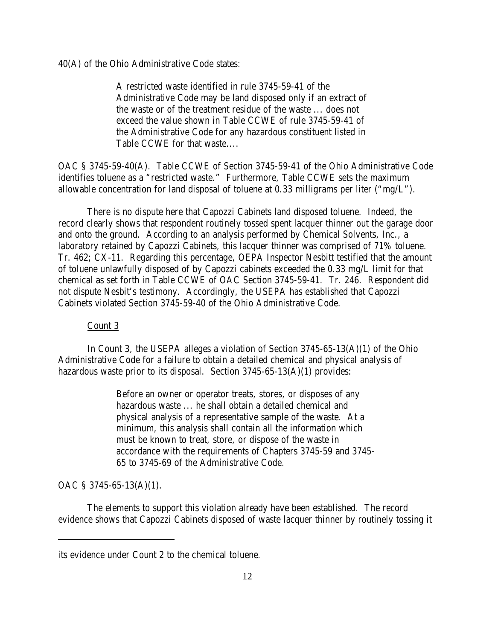40(A) of the Ohio Administrative Code states:

A restricted waste identified in rule 3745-59-41 of the Administrative Code may be land disposed only if an extract of the waste or of the treatment residue of the waste ... does not exceed the value shown in Table CCWE of rule 3745-59-41 of the Administrative Code for any hazardous constituent listed in Table CCWE for that waste....

OAC § 3745-59-40(A). Table CCWE of Section 3745-59-41 of the Ohio Administrative Code identifies toluene as a "restricted waste." Furthermore, Table CCWE sets the maximum allowable concentration for land disposal of toluene at 0.33 milligrams per liter ("mg/L").

There is no dispute here that Capozzi Cabinets land disposed toluene. Indeed, the record clearly shows that respondent routinely tossed spent lacquer thinner out the garage door and onto the ground. According to an analysis performed by Chemical Solvents, Inc., a laboratory retained by Capozzi Cabinets, this lacquer thinner was comprised of 71% toluene. Tr. 462; CX-11. Regarding this percentage, OEPA Inspector Nesbitt testified that the amount of toluene unlawfully disposed of by Capozzi cabinets exceeded the 0.33 mg/L limit for that chemical as set forth in Table CCWE of OAC Section 3745-59-41. Tr. 246. Respondent did not dispute Nesbit's testimony. Accordingly, the USEPA has established that Capozzi Cabinets violated Section 3745-59-40 of the Ohio Administrative Code.

## Count 3

In Count 3, the USEPA alleges a violation of Section 3745-65-13(A)(1) of the Ohio Administrative Code for a failure to obtain a detailed chemical and physical analysis of hazardous waste prior to its disposal. Section 3745-65-13(A)(1) provides:

> Before an owner or operator treats, stores, or disposes of any hazardous waste ... he shall obtain a detailed chemical and physical analysis of a representative sample of the waste. At a minimum, this analysis shall contain all the information which must be known to treat, store, or dispose of the waste in accordance with the requirements of Chapters 3745-59 and 3745- 65 to 3745-69 of the Administrative Code.

## OAC § 3745-65-13(A)(1).

The elements to support this violation already have been established. The record evidence shows that Capozzi Cabinets disposed of waste lacquer thinner by routinely tossing it

its evidence under Count 2 to the chemical toluene.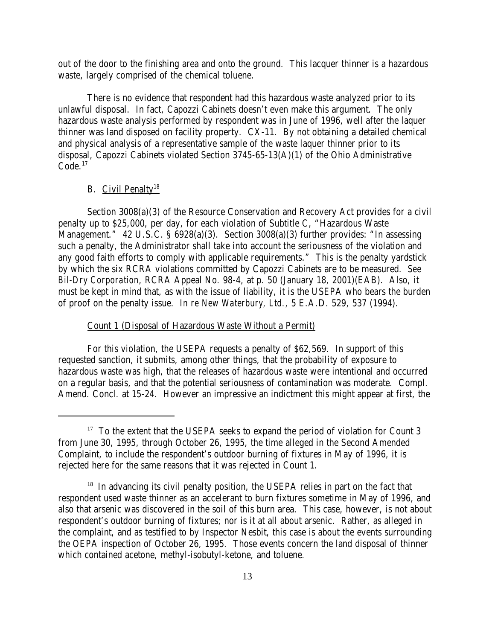out of the door to the finishing area and onto the ground. This lacquer thinner is a hazardous waste, largely comprised of the chemical toluene.

There is no evidence that respondent had this hazardous waste analyzed prior to its unlawful disposal. In fact, Capozzi Cabinets doesn't even make this argument. The only hazardous waste analysis performed by respondent was in June of 1996, well after the laquer thinner was land disposed on facility property. CX-11. By not obtaining a detailed chemical and physical analysis of a representative sample of the waste laquer thinner prior to its disposal, Capozzi Cabinets violated Section 3745-65-13(A)(1) of the Ohio Administrative  $Code<sup>17</sup>$ 

#### B. Civil Penalty<sup>18</sup>

Section 3008(a)(3) of the Resource Conservation and Recovery Act provides for a civil penalty up to \$25,000, per day, for each violation of Subtitle C, "Hazardous Waste Management." 42 U.S.C. § 6928(a)(3). Section 3008(a)(3) further provides: "In assessing such a penalty, the Administrator shall take into account the seriousness of the violation and any good faith efforts to comply with applicable requirements." This is the penalty yardstick by which the six RCRA violations committed by Capozzi Cabinets are to be measured. *See Bil-Dry Corporation*, RCRA Appeal No. 98-4, at p. 50 (January 18, 2001)(EAB). Also, it must be kept in mind that, as with the issue of liability, it is the USEPA who bears the burden of proof on the penalty issue. *In re New Waterbury, Ltd.,* 5 E.A.D. 529, 537 (1994).

## Count 1 (Disposal of Hazardous Waste Without a Permit)

For this violation, the USEPA requests a penalty of \$62,569. In support of this requested sanction, it submits, among other things, that the probability of exposure to hazardous waste was high, that the releases of hazardous waste were intentional and occurred on a regular basis, and that the potential seriousness of contamination was moderate. Compl. Amend. Concl. at 15-24. However an impressive an indictment this might appear at first, the

<sup>&</sup>lt;sup>17</sup> To the extent that the USEPA seeks to expand the period of violation for Count 3 from June 30, 1995, through October 26, 1995, the time alleged in the Second Amended Complaint, to include the respondent's outdoor burning of fixtures in May of 1996, it is rejected here for the same reasons that it was rejected in Count 1.

<sup>&</sup>lt;sup>18</sup> In advancing its civil penalty position, the USEPA relies in part on the fact that respondent used waste thinner as an accelerant to burn fixtures sometime in May of 1996, and also that arsenic was discovered in the soil of this burn area. This case, however, is not about respondent's outdoor burning of fixtures; nor is it at all about arsenic. Rather, as alleged in the complaint, and as testified to by Inspector Nesbit, this case is about the events surrounding the OEPA inspection of October 26, 1995. Those events concern the land disposal of thinner which contained acetone, methyl-isobutyl-ketone, and toluene.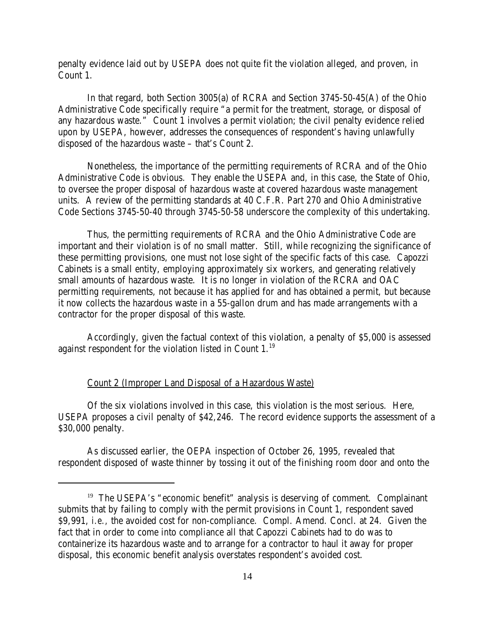penalty evidence laid out by USEPA does not quite fit the violation alleged, and proven, in Count 1.

In that regard, both Section 3005(a) of RCRA and Section 3745-50-45(A) of the Ohio Administrative Code specifically require "a permit for the treatment, storage, or disposal of any hazardous waste." Count 1 involves a permit violation; the civil penalty evidence relied upon by USEPA, however, addresses the consequences of respondent's having unlawfully disposed of the hazardous waste – that's Count 2.

Nonetheless, the importance of the permitting requirements of RCRA and of the Ohio Administrative Code is obvious. They enable the USEPA and, in this case, the State of Ohio, to oversee the proper disposal of hazardous waste at covered hazardous waste management units. A review of the permitting standards at 40 C.F.R. Part 270 and Ohio Administrative Code Sections 3745-50-40 through 3745-50-58 underscore the complexity of this undertaking.

Thus, the permitting requirements of RCRA and the Ohio Administrative Code are important and their violation is of no small matter. Still, while recognizing the significance of these permitting provisions, one must not lose sight of the specific facts of this case. Capozzi Cabinets is a small entity, employing approximately six workers, and generating relatively small amounts of hazardous waste. It is no longer in violation of the RCRA and OAC permitting requirements, not because it has applied for and has obtained a permit, but because it now collects the hazardous waste in a 55-gallon drum and has made arrangements with a contractor for the proper disposal of this waste.

Accordingly, given the factual context of this violation, a penalty of \$5,000 is assessed against respondent for the violation listed in Count  $1.^{19}$ .

## Count 2 (Improper Land Disposal of a Hazardous Waste)

Of the six violations involved in this case, this violation is the most serious. Here, USEPA proposes a civil penalty of \$42,246. The record evidence supports the assessment of a \$30,000 penalty.

As discussed earlier, the OEPA inspection of October 26, 1995, revealed that respondent disposed of waste thinner by tossing it out of the finishing room door and onto the

<sup>&</sup>lt;sup>19</sup> The USEPA's "economic benefit" analysis is deserving of comment. Complainant submits that by failing to comply with the permit provisions in Count 1, respondent saved \$9,991, *i.e.,* the avoided cost for non-compliance. Compl. Amend. Concl. at 24. Given the fact that in order to come into compliance all that Capozzi Cabinets had to do was to containerize its hazardous waste and to arrange for a contractor to haul it away for proper disposal, this economic benefit analysis overstates respondent's avoided cost.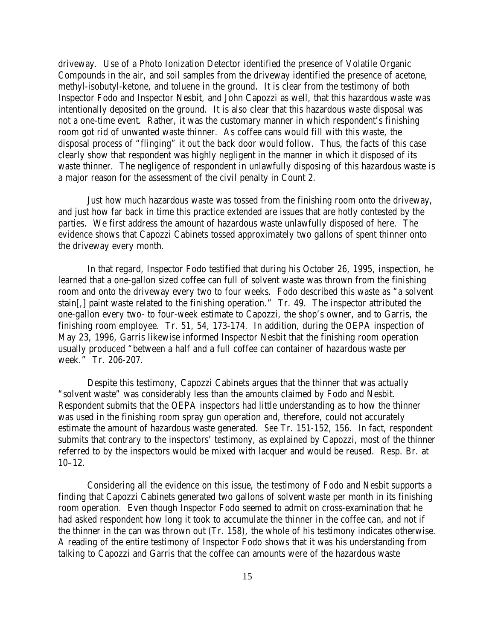driveway. Use of a Photo Ionization Detector identified the presence of Volatile Organic Compounds in the air, and soil samples from the driveway identified the presence of acetone, methyl-isobutyl-ketone, and toluene in the ground. It is clear from the testimony of both Inspector Fodo and Inspector Nesbit, and John Capozzi as well, that this hazardous waste was intentionally deposited on the ground. It is also clear that this hazardous waste disposal was not a one-time event. Rather, it was the customary manner in which respondent's finishing room got rid of unwanted waste thinner. As coffee cans would fill with this waste, the disposal process of "flinging" it out the back door would follow. Thus, the facts of this case clearly show that respondent was highly negligent in the manner in which it disposed of its waste thinner. The negligence of respondent in unlawfully disposing of this hazardous waste is a major reason for the assessment of the civil penalty in Count 2.

Just how much hazardous waste was tossed from the finishing room onto the driveway, and just how far back in time this practice extended are issues that are hotly contested by the parties. We first address the amount of hazardous waste unlawfully disposed of here. The evidence shows that Capozzi Cabinets tossed approximately two gallons of spent thinner onto the driveway every month.

In that regard, Inspector Fodo testified that during his October 26, 1995, inspection, he learned that a one-gallon sized coffee can full of solvent waste was thrown from the finishing room and onto the driveway every two to four weeks. Fodo described this waste as "a solvent stain[,] paint waste related to the finishing operation." Tr. 49. The inspector attributed the one-gallon every two- to four-week estimate to Capozzi, the shop's owner, and to Garris, the finishing room employee. Tr. 51, 54, 173-174. In addition, during the OEPA inspection of May 23, 1996, Garris likewise informed Inspector Nesbit that the finishing room operation usually produced "between a half and a full coffee can container of hazardous waste per week." Tr. 206-207.

Despite this testimony, Capozzi Cabinets argues that the thinner that was actually "solvent waste" was considerably less than the amounts claimed by Fodo and Nesbit. Respondent submits that the OEPA inspectors had little understanding as to how the thinner was used in the finishing room spray gun operation and, therefore, could not accurately estimate the amount of hazardous waste generated. *See* Tr. 151-152, 156. In fact, respondent submits that contrary to the inspectors' testimony, as explained by Capozzi, most of the thinner referred to by the inspectors would be mixed with lacquer and would be reused. Resp. Br. at 10–12.

Considering all the evidence on this issue, the testimony of Fodo and Nesbit supports a finding that Capozzi Cabinets generated two gallons of solvent waste per month in its finishing room operation. Even though Inspector Fodo seemed to admit on cross-examination that he had asked respondent how long it took to accumulate the thinner in the coffee can, and not if the thinner in the can was thrown out (Tr. 158), the whole of his testimony indicates otherwise. A reading of the entire testimony of Inspector Fodo shows that it was his understanding from talking to Capozzi and Garris that the coffee can amounts were of the hazardous waste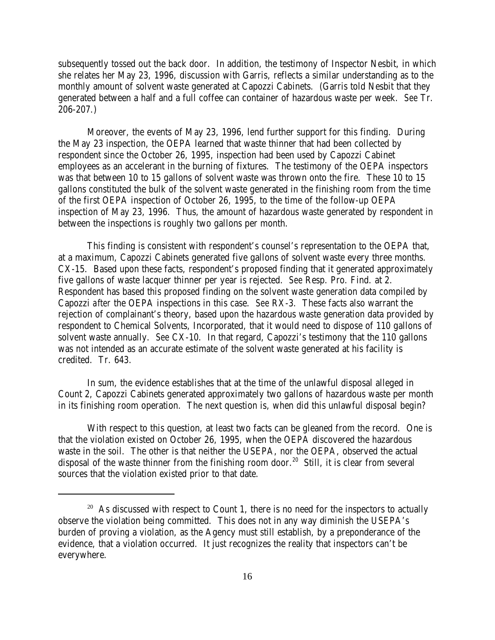subsequently tossed out the back door. In addition, the testimony of Inspector Nesbit, in which she relates her May 23, 1996, discussion with Garris, reflects a similar understanding as to the monthly amount of solvent waste generated at Capozzi Cabinets. (Garris told Nesbit that they generated between a half and a full coffee can container of hazardous waste per week. *See* Tr. 206-207.)

Moreover, the events of May 23, 1996, lend further support for this finding. During the May 23 inspection, the OEPA learned that waste thinner that had been collected by respondent since the October 26, 1995, inspection had been used by Capozzi Cabinet employees as an accelerant in the burning of fixtures. The testimony of the OEPA inspectors was that between 10 to 15 gallons of solvent waste was thrown onto the fire. These 10 to 15 gallons constituted the bulk of the solvent waste generated in the finishing room from the time of the first OEPA inspection of October 26, 1995, to the time of the follow-up OEPA inspection of May 23, 1996. Thus, the amount of hazardous waste generated by respondent in between the inspections is roughly two gallons per month.

This finding is consistent with respondent's counsel's representation to the OEPA that, at a maximum, Capozzi Cabinets generated five gallons of solvent waste every three months. CX-15. Based upon these facts, respondent's proposed finding that it generated approximately five gallons of waste lacquer thinner per year is rejected. *See* Resp. Pro. Find. at 2. Respondent has based this proposed finding on the solvent waste generation data compiled by Capozzi *after* the OEPA inspections in this case. *See* RX-3. These facts also warrant the rejection of complainant's theory, based upon the hazardous waste generation data provided by respondent to Chemical Solvents, Incorporated, that it would need to dispose of 110 gallons of solvent waste annually. *See* CX-10. In that regard, Capozzi's testimony that the 110 gallons was not intended as an accurate estimate of the solvent waste generated at his facility is credited. Tr. 643.

In sum, the evidence establishes that at the time of the unlawful disposal alleged in Count 2, Capozzi Cabinets generated approximately two gallons of hazardous waste per month in its finishing room operation. The next question is, when did this unlawful disposal begin?

With respect to this question, at least two facts can be gleaned from the record. One is that the violation existed on October 26, 1995, when the OEPA discovered the hazardous waste in the soil. The other is that neither the USEPA, nor the OEPA, observed the actual disposal of the waste thinner from the finishing room door.<sup>20</sup> Still, it is clear from several sources that the violation existed prior to that date.

<sup>&</sup>lt;sup>20</sup> As discussed with respect to Count 1, there is no need for the inspectors to actually observe the violation being committed. This does not in any way diminish the USEPA's burden of proving a violation, as the Agency must still establish, by a preponderance of the evidence, that a violation occurred. It just recognizes the reality that inspectors can't be everywhere.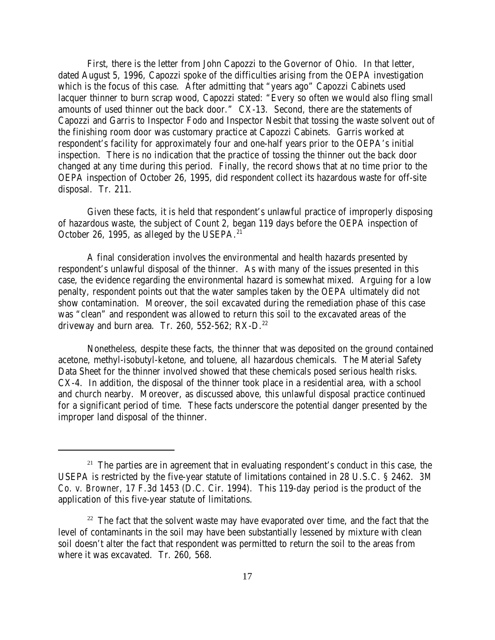First, there is the letter from John Capozzi to the Governor of Ohio. In that letter, dated August 5, 1996, Capozzi spoke of the difficulties arising from the OEPA investigation which is the focus of this case. After admitting that "years ago" Capozzi Cabinets used lacquer thinner to burn scrap wood, Capozzi stated: "Every so often we would also fling small amounts of used thinner out the back door." CX-13. Second, there are the statements of Capozzi and Garris to Inspector Fodo and Inspector Nesbit that tossing the waste solvent out of the finishing room door was customary practice at Capozzi Cabinets. Garris worked at respondent's facility for approximately four and one-half years prior to the OEPA's initial inspection. There is no indication that the practice of tossing the thinner out the back door changed at any time during this period. Finally, the record shows that at no time prior to the OEPA inspection of October 26, 1995, did respondent collect its hazardous waste for off-site disposal. Tr. 211.

Given these facts, it is held that respondent's unlawful practice of improperly disposing of hazardous waste, the subject of Count 2, began 119 days before the OEPA inspection of October 26, 1995, as alleged by the USEPA.<sup>21</sup>

A final consideration involves the environmental and health hazards presented by respondent's unlawful disposal of the thinner. As with many of the issues presented in this case, the evidence regarding the environmental hazard is somewhat mixed. Arguing for a low penalty, respondent points out that the water samples taken by the OEPA ultimately did not show contamination. Moreover, the soil excavated during the remediation phase of this case was "clean" and respondent was allowed to return this soil to the excavated areas of the driveway and burn area. Tr. 260, 552-562;  $RX-D$ .<sup>22</sup>

Nonetheless, despite these facts, the thinner that was deposited on the ground contained acetone, methyl-isobutyl-ketone, and toluene, all hazardous chemicals. The Material Safety Data Sheet for the thinner involved showed that these chemicals posed serious health risks. CX-4. In addition, the disposal of the thinner took place in a residential area, with a school and church nearby. Moreover, as discussed above, this unlawful disposal practice continued for a significant period of time. These facts underscore the potential danger presented by the improper land disposal of the thinner.

 $21$  The parties are in agreement that in evaluating respondent's conduct in this case, the USEPA is restricted by the five-year statute of limitations contained in 28 U.S.C. § 2462. *3M Co. v. Browner,* 17 F.3d 1453 (D.C. Cir. 1994). This 119-day period is the product of the application of this five-year statute of limitations.

 $22$  The fact that the solvent waste may have evaporated over time, and the fact that the level of contaminants in the soil may have been substantially lessened by mixture with clean soil doesn't alter the fact that respondent was permitted to return the soil to the areas from where it was excavated. Tr. 260, 568.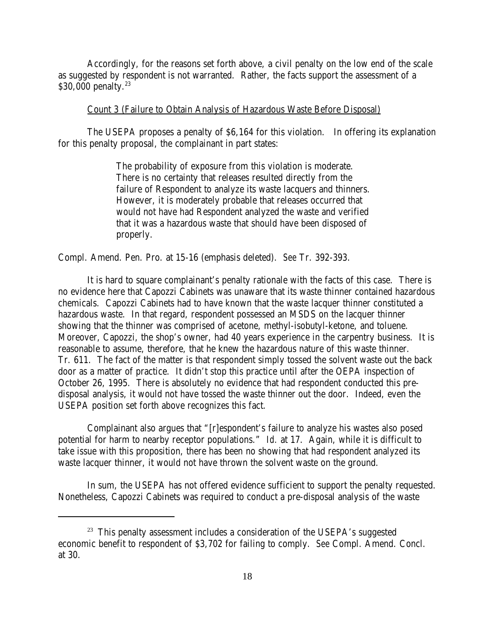Accordingly, for the reasons set forth above, a civil penalty on the low end of the scale as suggested by respondent is not warranted. Rather, the facts support the assessment of a  $$30,000$  penalty.<sup>23</sup>

#### Count 3 (Failure to Obtain Analysis of Hazardous Waste Before Disposal)

The USEPA proposes a penalty of \$6,164 for this violation. In offering its explanation for this penalty proposal, the complainant in part states:

> The probability of exposure from this violation is moderate. There is no certainty that releases resulted directly from the failure of Respondent to analyze its waste lacquers and thinners. However, it is moderately probable that releases occurred that would not have had Respondent analyzed the waste and verified that it was a hazardous waste that should have been disposed of properly.

Compl. Amend. Pen. Pro. at 15-16 (emphasis deleted). *See* Tr. 392-393.

It is hard to square complainant's penalty rationale with the facts of this case. There is no evidence here that Capozzi Cabinets was unaware that its waste thinner contained hazardous chemicals. Capozzi Cabinets had to have known that the waste lacquer thinner constituted a hazardous waste. In that regard, respondent possessed an MSDS on the lacquer thinner showing that the thinner was comprised of acetone, methyl-isobutyl-ketone, and toluene. Moreover, Capozzi, the shop's owner, had 40 years experience in the carpentry business. It is reasonable to assume, therefore, that he knew the hazardous nature of this waste thinner. Tr. 611. The fact of the matter is that respondent simply tossed the solvent waste out the back door as a matter of practice. It didn't stop this practice until after the OEPA inspection of October 26, 1995. There is absolutely no evidence that had respondent conducted this predisposal analysis, it would not have tossed the waste thinner out the door. Indeed, even the USEPA position set forth above recognizes this fact.

Complainant also argues that "[r]espondent's failure to analyze his wastes also posed potential for harm to nearby receptor populations." *Id.* at 17. Again, while it is difficult to take issue with this proposition, there has been no showing that had respondent analyzed its waste lacquer thinner, it would not have thrown the solvent waste on the ground.

In sum, the USEPA has not offered evidence sufficient to support the penalty requested. Nonetheless, Capozzi Cabinets was required to conduct a pre-disposal analysis of the waste

<sup>&</sup>lt;sup>23</sup> This penalty assessment includes a consideration of the USEPA's suggested economic benefit to respondent of \$3,702 for failing to comply. *See* Compl. Amend. Concl. at 30.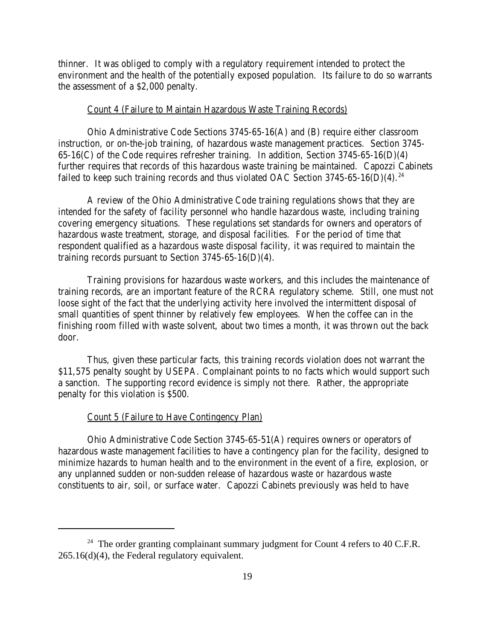thinner. It was obliged to comply with a regulatory requirement intended to protect the environment and the health of the potentially exposed population. Its failure to do so warrants the assessment of a \$2,000 penalty.

#### Count 4 (Failure to Maintain Hazardous Waste Training Records)

Ohio Administrative Code Sections 3745-65-16(A) and (B) require either classroom instruction, or on-the-job training, of hazardous waste management practices. Section 3745- 65-16(C) of the Code requires refresher training. In addition, Section 3745-65-16(D)(4) further requires that records of this hazardous waste training be maintained. Capozzi Cabinets failed to keep such training records and thus violated OAC Section  $3745-65-16(D)(4)$ .<sup>24</sup>

A review of the Ohio Administrative Code training regulations shows that they are intended for the safety of facility personnel who handle hazardous waste, including training covering emergency situations. These regulations set standards for owners and operators of hazardous waste treatment, storage, and disposal facilities. For the period of time that respondent qualified as a hazardous waste disposal facility, it was required to maintain the training records pursuant to Section 3745-65-16(D)(4).

Training provisions for hazardous waste workers, and this includes the maintenance of training records, are an important feature of the RCRA regulatory scheme. Still, one must not loose sight of the fact that the underlying activity here involved the intermittent disposal of small quantities of spent thinner by relatively few employees. When the coffee can in the finishing room filled with waste solvent, about two times a month, it was thrown out the back door.

Thus, given these particular facts, this training records violation does not warrant the \$11,575 penalty sought by USEPA. Complainant points to no facts which would support such a sanction. The supporting record evidence is simply not there. Rather, the appropriate penalty for this violation is \$500.

#### Count 5 (Failure to Have Contingency Plan)

Ohio Administrative Code Section 3745-65-51(A) requires owners or operators of hazardous waste management facilities to have a contingency plan for the facility, designed to minimize hazards to human health and to the environment in the event of a fire, explosion, or any unplanned sudden or non-sudden release of hazardous waste or hazardous waste constituents to air, soil, or surface water. Capozzi Cabinets previously was held to have

<sup>&</sup>lt;sup>24</sup> The order granting complainant summary judgment for Count 4 refers to 40 C.F.R. 265.16(d)(4), the Federal regulatory equivalent.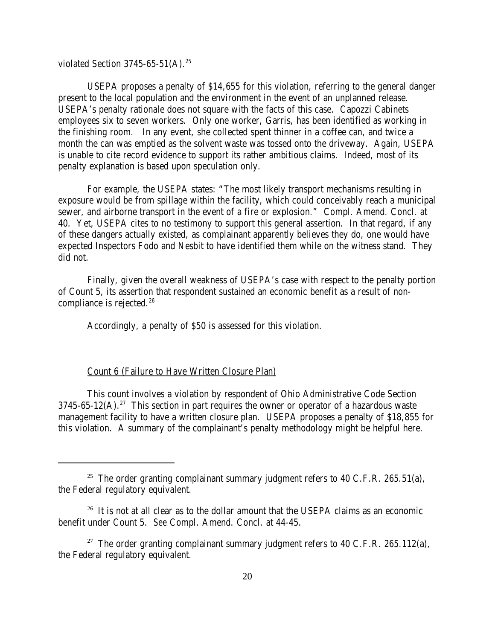violated Section 3745-65-51(A).<sup>25</sup>

USEPA proposes a penalty of \$14,655 for this violation, referring to the general danger present to the local population and the environment in the event of an unplanned release. USEPA's penalty rationale does not square with the facts of this case. Capozzi Cabinets employees six to seven workers. Only one worker, Garris, has been identified as working in the finishing room. In any event, she collected spent thinner in a coffee can, and twice a month the can was emptied as the solvent waste was tossed onto the driveway. Again, USEPA is unable to cite record evidence to support its rather ambitious claims. Indeed, most of its penalty explanation is based upon speculation only.

For example, the USEPA states: "The most likely transport mechanisms resulting in exposure would be from spillage within the facility, which could conceivably reach a municipal sewer, and airborne transport in the event of a fire or explosion." Compl. Amend. Concl. at 40. Yet, USEPA cites to no testimony to support this general assertion. In that regard, if any of these dangers actually existed, as complainant apparently believes they do, one would have expected Inspectors Fodo and Nesbit to have identified them while on the witness stand. They did not.

Finally, given the overall weakness of USEPA's case with respect to the penalty portion of Count 5, its assertion that respondent sustained an economic benefit as a result of noncompliance is rejected. $26$ 

Accordingly, a penalty of \$50 is assessed for this violation.

## Count 6 (Failure to Have Written Closure Plan)

This count involves a violation by respondent of Ohio Administrative Code Section  $3745-65-12(A).^{27}$  This section in part requires the owner or operator of a hazardous waste management facility to have a written closure plan. USEPA proposes a penalty of \$18,855 for this violation. A summary of the complainant's penalty methodology might be helpful here.

<sup>&</sup>lt;sup>25</sup> The order granting complainant summary judgment refers to 40 C.F.R. 265.51(a), the Federal regulatory equivalent.

 $26$  It is not at all clear as to the dollar amount that the USEPA claims as an economic benefit under Count 5. *See* Compl. Amend. Concl. at 44-45.

<sup>&</sup>lt;sup>27</sup> The order granting complainant summary judgment refers to 40 C.F.R. 265.112(a), the Federal regulatory equivalent.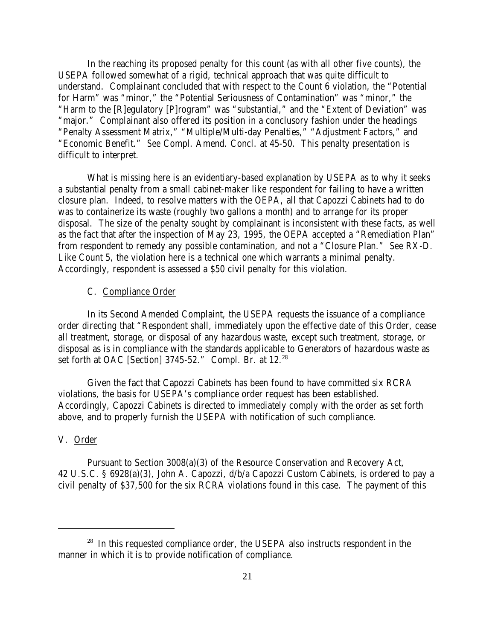In the reaching its proposed penalty for this count (as with all other five counts), the USEPA followed somewhat of a rigid, technical approach that was quite difficult to understand. Complainant concluded that with respect to the Count 6 violation, the "Potential for Harm" was "minor," the "Potential Seriousness of Contamination" was "minor," the "Harm to the [R]egulatory [P]rogram" was "substantial," and the "Extent of Deviation" was "major." Complainant also offered its position in a conclusory fashion under the headings "Penalty Assessment Matrix," "Multiple/Multi-day Penalties," "Adjustment Factors," and "Economic Benefit." *See* Compl. Amend. Concl. at 45-50. This penalty presentation is difficult to interpret.

What is missing here is an evidentiary-based explanation by USEPA as to why it seeks a substantial penalty from a small cabinet-maker like respondent for failing to have a written closure plan. Indeed, to resolve matters with the OEPA, all that Capozzi Cabinets had to do was to containerize its waste (roughly two gallons a month) and to arrange for its proper disposal. The size of the penalty sought by complainant is inconsistent with these facts, as well as the fact that after the inspection of May 23, 1995, the OEPA accepted a "Remediation Plan" from respondent to remedy any possible contamination, and not a "Closure Plan." *See* RX-D. Like Count 5, the violation here is a technical one which warrants a minimal penalty. Accordingly, respondent is assessed a \$50 civil penalty for this violation.

### C. Compliance Order

In its Second Amended Complaint, the USEPA requests the issuance of a compliance order directing that "Respondent shall, immediately upon the effective date of this Order, cease all treatment, storage, or disposal of any hazardous waste, except such treatment, storage, or disposal as is in compliance with the standards applicable to Generators of hazardous waste as set forth at OAC [Section] 3745-52." Compl. Br. at 12.<sup>28</sup>

Given the fact that Capozzi Cabinets has been found to have committed six RCRA violations, the basis for USEPA's compliance order request has been established. Accordingly, Capozzi Cabinets is directed to immediately comply with the order as set forth above, and to properly furnish the USEPA with notification of such compliance.

# V. Order

Pursuant to Section 3008(a)(3) of the Resource Conservation and Recovery Act, 42 U.S.C. § 6928(a)(3), John A. Capozzi, d/b/a Capozzi Custom Cabinets, is ordered to pay a civil penalty of \$37,500 for the six RCRA violations found in this case. The payment of this

 $28$  In this requested compliance order, the USEPA also instructs respondent in the manner in which it is to provide notification of compliance.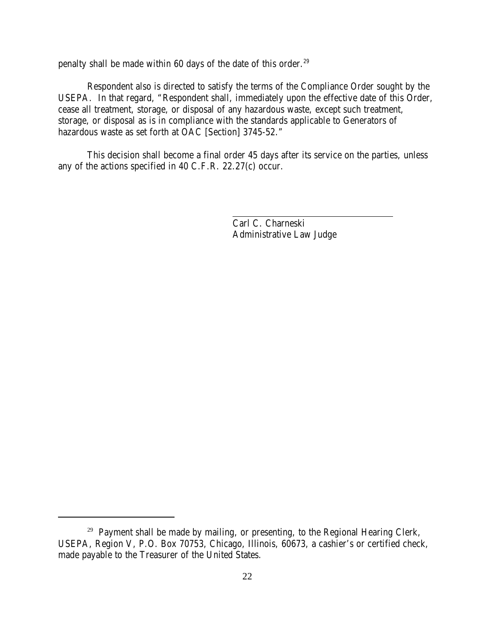penalty shall be made within 60 days of the date of this order.<sup>29</sup>

Respondent also is directed to satisfy the terms of the Compliance Order sought by the USEPA. In that regard, "Respondent shall, immediately upon the effective date of this Order, cease all treatment, storage, or disposal of any hazardous waste, except such treatment, storage, or disposal as is in compliance with the standards applicable to Generators of hazardous waste as set forth at OAC [Section] 3745-52."

This decision shall become a final order 45 days after its service on the parties, unless any of the actions specified in 40 C.F.R. 22.27(c) occur.

> Carl C. Charneski Administrative Law Judge

<sup>&</sup>lt;sup>29</sup> Payment shall be made by mailing, or presenting, to the Regional Hearing Clerk, USEPA, Region V, P.O. Box 70753, Chicago, Illinois, 60673, a cashier's or certified check, made payable to the Treasurer of the United States.